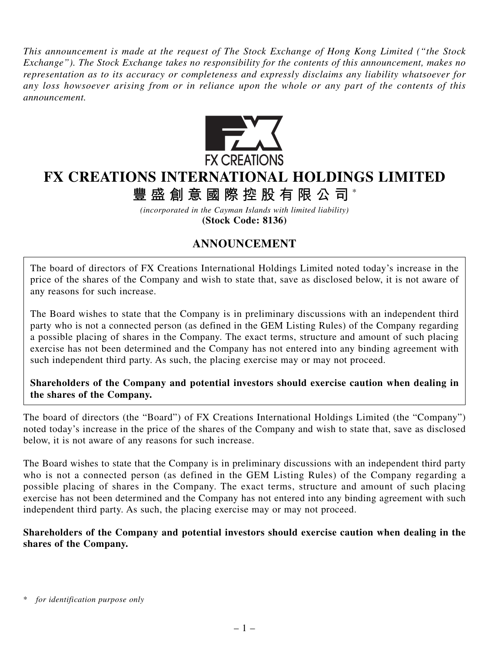*This announcement is made at the request of The Stock Exchange of Hong Kong Limited ("the Stock Exchange"). The Stock Exchange takes no responsibility for the contents of this announcement, makes no representation as to its accuracy or completeness and expressly disclaims any liability whatsoever for any loss howsoever arising from or in reliance upon the whole or any part of the contents of this announcement.*



## **FX CREATIONS INTERNATIONAL HOLDINGS LIMITED**

**豐盛創意國際控股有限公司** \*

*(incorporated in the Cayman Islands with limited liability)* **(Stock Code: 8136)**

## **ANNOUNCEMENT**

The board of directors of FX Creations International Holdings Limited noted today's increase in the price of the shares of the Company and wish to state that, save as disclosed below, it is not aware of any reasons for such increase.

The Board wishes to state that the Company is in preliminary discussions with an independent third party who is not a connected person (as defined in the GEM Listing Rules) of the Company regarding a possible placing of shares in the Company. The exact terms, structure and amount of such placing exercise has not been determined and the Company has not entered into any binding agreement with such independent third party. As such, the placing exercise may or may not proceed.

**Shareholders of the Company and potential investors should exercise caution when dealing in the shares of the Company.**

The board of directors (the "Board") of FX Creations International Holdings Limited (the "Company") noted today's increase in the price of the shares of the Company and wish to state that, save as disclosed below, it is not aware of any reasons for such increase.

The Board wishes to state that the Company is in preliminary discussions with an independent third party who is not a connected person (as defined in the GEM Listing Rules) of the Company regarding a possible placing of shares in the Company. The exact terms, structure and amount of such placing exercise has not been determined and the Company has not entered into any binding agreement with such independent third party. As such, the placing exercise may or may not proceed.

## **Shareholders of the Company and potential investors should exercise caution when dealing in the shares of the Company.**

for *identification purpose only*